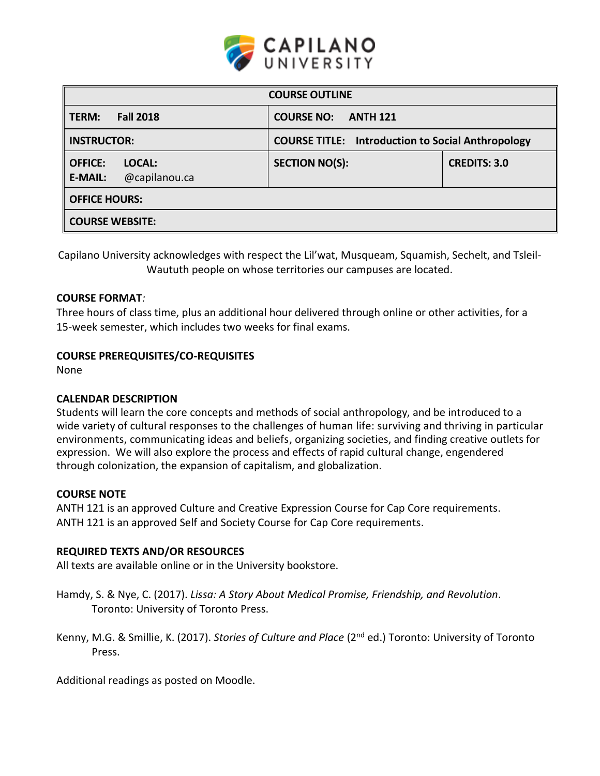

| <b>COURSE OUTLINE</b>                                       |                                                          |                     |  |  |  |
|-------------------------------------------------------------|----------------------------------------------------------|---------------------|--|--|--|
| <b>Fall 2018</b><br>TERM:                                   | <b>COURSE NO:</b><br><b>ANTH 121</b>                     |                     |  |  |  |
| <b>INSTRUCTOR:</b>                                          | <b>COURSE TITLE: Introduction to Social Anthropology</b> |                     |  |  |  |
| <b>OFFICE:</b><br>LOCAL:<br>@capilanou.ca<br><b>E-MAIL:</b> | <b>SECTION NO(S):</b>                                    | <b>CREDITS: 3.0</b> |  |  |  |
| <b>OFFICE HOURS:</b>                                        |                                                          |                     |  |  |  |
| <b>COURSE WEBSITE:</b>                                      |                                                          |                     |  |  |  |

Capilano University acknowledges with respect the Lil'wat, Musqueam, Squamish, Sechelt, and Tsleil-Waututh people on whose territories our campuses are located.

## **COURSE FORMAT***:*

Three hours of class time, plus an additional hour delivered through online or other activities, for a 15-week semester, which includes two weeks for final exams.

# **COURSE PREREQUISITES/CO-REQUISITES**

None

# **CALENDAR DESCRIPTION**

Students will learn the core concepts and methods of social anthropology, and be introduced to a wide variety of cultural responses to the challenges of human life: surviving and thriving in particular environments, communicating ideas and beliefs, organizing societies, and finding creative outlets for expression. We will also explore the process and effects of rapid cultural change, engendered through colonization, the expansion of capitalism, and globalization.

## **COURSE NOTE**

ANTH 121 is an approved Culture and Creative Expression Course for Cap Core requirements. ANTH 121 is an approved Self and Society Course for Cap Core requirements.

## **REQUIRED TEXTS AND/OR RESOURCES**

All texts are available online or in the University bookstore.

- Hamdy, S. & Nye, C. (2017). *Lissa: A Story About Medical Promise, Friendship, and Revolution*. Toronto: University of Toronto Press.
- Kenny, M.G. & Smillie, K. (2017). *Stories of Culture and Place* (2<sup>nd</sup> ed.) Toronto: University of Toronto Press.

Additional readings as posted on Moodle.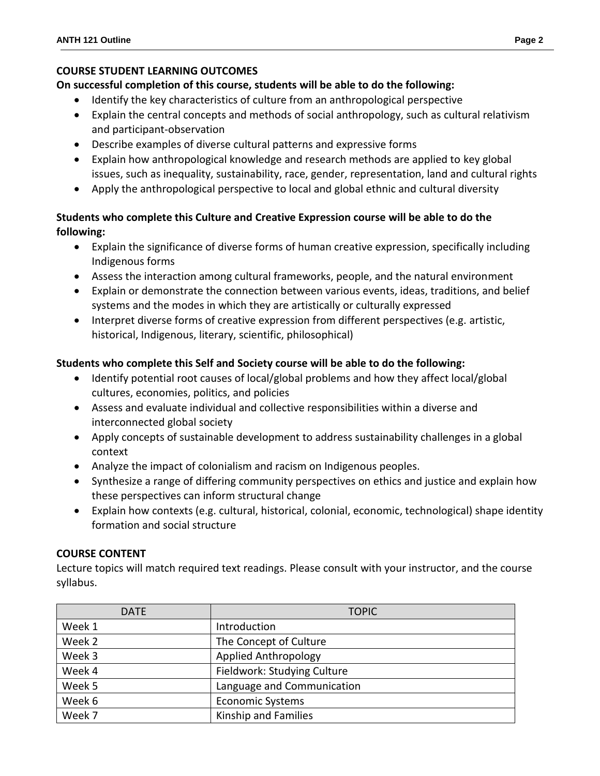# **COURSE STUDENT LEARNING OUTCOMES**

# **On successful completion of this course, students will be able to do the following:**

- Identify the key characteristics of culture from an anthropological perspective
- Explain the central concepts and methods of social anthropology, such as cultural relativism and participant-observation
- Describe examples of diverse cultural patterns and expressive forms
- Explain how anthropological knowledge and research methods are applied to key global issues, such as inequality, sustainability, race, gender, representation, land and cultural rights
- Apply the anthropological perspective to local and global ethnic and cultural diversity

# **Students who complete this Culture and Creative Expression course will be able to do the following:**

- Explain the significance of diverse forms of human creative expression, specifically including Indigenous forms
- Assess the interaction among cultural frameworks, people, and the natural environment
- Explain or demonstrate the connection between various events, ideas, traditions, and belief systems and the modes in which they are artistically or culturally expressed
- Interpret diverse forms of creative expression from different perspectives (e.g. artistic, historical, Indigenous, literary, scientific, philosophical)

# **Students who complete this Self and Society course will be able to do the following:**

- Identify potential root causes of local/global problems and how they affect local/global cultures, economies, politics, and policies
- Assess and evaluate individual and collective responsibilities within a diverse and interconnected global society
- Apply concepts of sustainable development to address sustainability challenges in a global context
- Analyze the impact of colonialism and racism on Indigenous peoples.
- Synthesize a range of differing community perspectives on ethics and justice and explain how these perspectives can inform structural change
- Explain how contexts (e.g. cultural, historical, colonial, economic, technological) shape identity formation and social structure

# **COURSE CONTENT**

Lecture topics will match required text readings. Please consult with your instructor, and the course syllabus.

| <b>DATE</b> | <b>TOPIC</b>                |  |
|-------------|-----------------------------|--|
| Week 1      | Introduction                |  |
| Week 2      | The Concept of Culture      |  |
| Week 3      | <b>Applied Anthropology</b> |  |
| Week 4      | Fieldwork: Studying Culture |  |
| Week 5      | Language and Communication  |  |
| Week 6      | <b>Economic Systems</b>     |  |
| Week 7      | Kinship and Families        |  |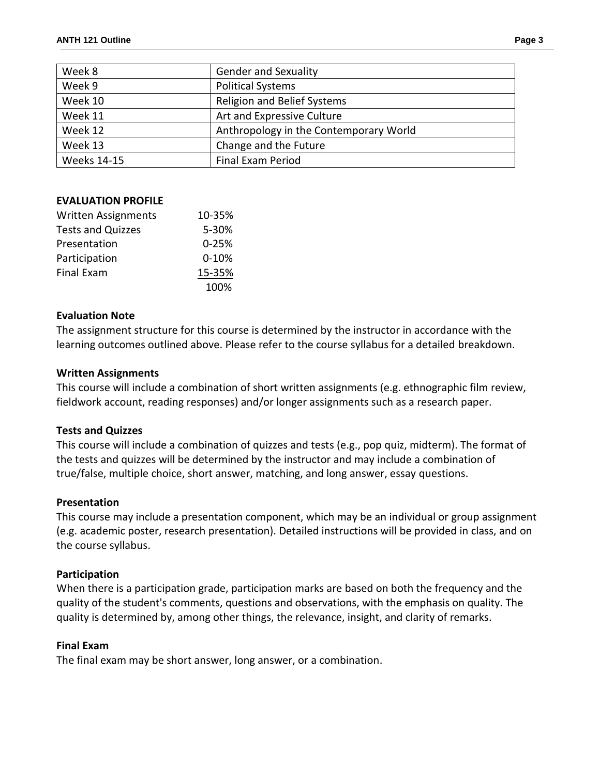| Week 8             | <b>Gender and Sexuality</b>            |  |
|--------------------|----------------------------------------|--|
| Week 9             | <b>Political Systems</b>               |  |
| Week 10            | <b>Religion and Belief Systems</b>     |  |
| Week 11            | Art and Expressive Culture             |  |
| Week 12            | Anthropology in the Contemporary World |  |
| Week 13            | Change and the Future                  |  |
| <b>Weeks 14-15</b> | Final Exam Period                      |  |

## **EVALUATION PROFILE**

| <b>Written Assignments</b> | 10-35%    |
|----------------------------|-----------|
| <b>Tests and Quizzes</b>   | 5-30%     |
| Presentation               | $0 - 25%$ |
| Participation              | $0 - 10%$ |
| <b>Final Exam</b>          | 15-35%    |
|                            | 100%      |

## **Evaluation Note**

The assignment structure for this course is determined by the instructor in accordance with the learning outcomes outlined above. Please refer to the course syllabus for a detailed breakdown.

## **Written Assignments**

This course will include a combination of short written assignments (e.g. ethnographic film review, fieldwork account, reading responses) and/or longer assignments such as a research paper.

## **Tests and Quizzes**

This course will include a combination of quizzes and tests (e.g., pop quiz, midterm). The format of the tests and quizzes will be determined by the instructor and may include a combination of true/false, multiple choice, short answer, matching, and long answer, essay questions.

## **Presentation**

This course may include a presentation component, which may be an individual or group assignment (e.g. academic poster, research presentation). Detailed instructions will be provided in class, and on the course syllabus.

## **Participation**

When there is a participation grade, participation marks are based on both the frequency and the quality of the student's comments, questions and observations, with the emphasis on quality. The quality is determined by, among other things, the relevance, insight, and clarity of remarks.

## **Final Exam**

The final exam may be short answer, long answer, or a combination.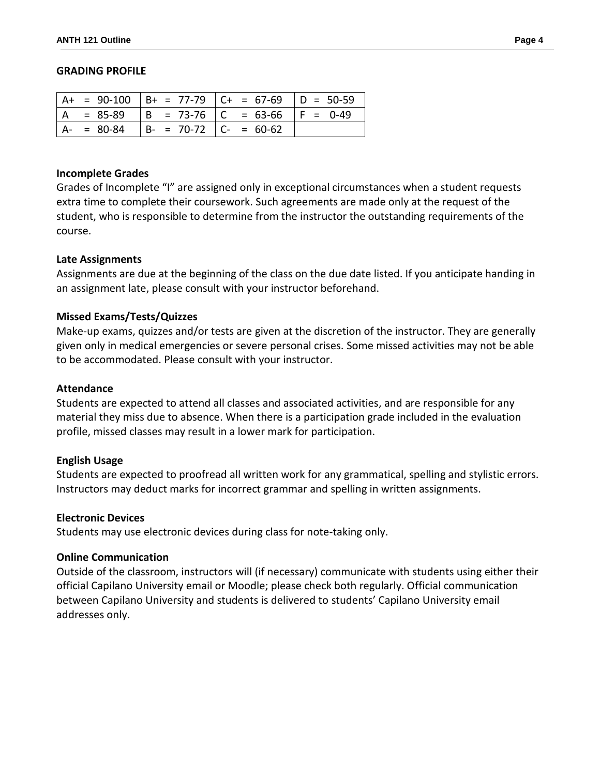#### **GRADING PROFILE**

|     |             |                                             | $  A + = 90 - 100   B + = 77 - 79   C + = 67 - 69   D = 50 - 59$ |  |
|-----|-------------|---------------------------------------------|------------------------------------------------------------------|--|
| l A |             |                                             | $= 85-89$  B = 73-76  C = 63-66  F = 0-49                        |  |
|     | $A - 80-84$ | $\vert B - 70 - 72 \vert C - 60 - 62 \vert$ |                                                                  |  |

#### **Incomplete Grades**

Grades of Incomplete "I" are assigned only in exceptional circumstances when a student requests extra time to complete their coursework. Such agreements are made only at the request of the student, who is responsible to determine from the instructor the outstanding requirements of the course.

#### **Late Assignments**

Assignments are due at the beginning of the class on the due date listed. If you anticipate handing in an assignment late, please consult with your instructor beforehand.

#### **Missed Exams/Tests/Quizzes**

Make-up exams, quizzes and/or tests are given at the discretion of the instructor. They are generally given only in medical emergencies or severe personal crises. Some missed activities may not be able to be accommodated. Please consult with your instructor.

#### **Attendance**

Students are expected to attend all classes and associated activities, and are responsible for any material they miss due to absence. When there is a participation grade included in the evaluation profile, missed classes may result in a lower mark for participation.

#### **English Usage**

Students are expected to proofread all written work for any grammatical, spelling and stylistic errors. Instructors may deduct marks for incorrect grammar and spelling in written assignments.

#### **Electronic Devices**

Students may use electronic devices during class for note-taking only.

#### **Online Communication**

Outside of the classroom, instructors will (if necessary) communicate with students using either their official Capilano University email or Moodle; please check both regularly. Official communication between Capilano University and students is delivered to students' Capilano University email addresses only.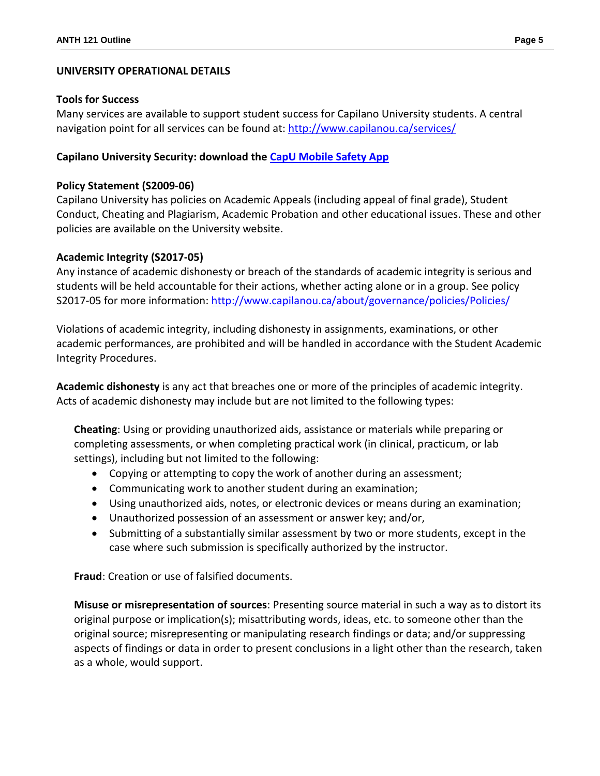## **UNIVERSITY OPERATIONAL DETAILS**

## **Tools for Success**

Many services are available to support student success for Capilano University students. A central navigation point for all services can be found at:<http://www.capilanou.ca/services/>

## **Capilano University Security: download the [CapU Mobile Safety App](https://www.capilanou.ca/services/safety-security/CapU-Mobile-Safety-App/)**

## **Policy Statement (S2009-06)**

Capilano University has policies on Academic Appeals (including appeal of final grade), Student Conduct, Cheating and Plagiarism, Academic Probation and other educational issues. These and other policies are available on the University website.

## **Academic Integrity (S2017-05)**

Any instance of academic dishonesty or breach of the standards of academic integrity is serious and students will be held accountable for their actions, whether acting alone or in a group. See policy S2017-05 for more information: <http://www.capilanou.ca/about/governance/policies/Policies/>

Violations of academic integrity, including dishonesty in assignments, examinations, or other academic performances, are prohibited and will be handled in accordance with the Student Academic Integrity Procedures.

**Academic dishonesty** is any act that breaches one or more of the principles of academic integrity. Acts of academic dishonesty may include but are not limited to the following types:

**Cheating**: Using or providing unauthorized aids, assistance or materials while preparing or completing assessments, or when completing practical work (in clinical, practicum, or lab settings), including but not limited to the following:

- Copying or attempting to copy the work of another during an assessment;
- Communicating work to another student during an examination;
- Using unauthorized aids, notes, or electronic devices or means during an examination;
- Unauthorized possession of an assessment or answer key; and/or,
- Submitting of a substantially similar assessment by two or more students, except in the case where such submission is specifically authorized by the instructor.

**Fraud**: Creation or use of falsified documents.

**Misuse or misrepresentation of sources**: Presenting source material in such a way as to distort its original purpose or implication(s); misattributing words, ideas, etc. to someone other than the original source; misrepresenting or manipulating research findings or data; and/or suppressing aspects of findings or data in order to present conclusions in a light other than the research, taken as a whole, would support.